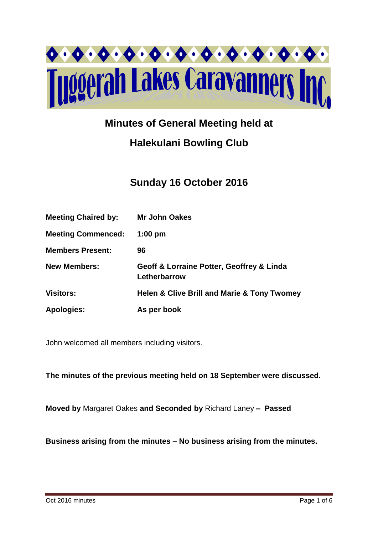

# **Minutes of General Meeting held at**

# **Halekulani Bowling Club**

# **Sunday 16 October 2016**

| <b>Meeting Chaired by:</b> | <b>Mr John Oakes</b>                                       |
|----------------------------|------------------------------------------------------------|
| <b>Meeting Commenced:</b>  | $1:00$ pm                                                  |
| <b>Members Present:</b>    | 96                                                         |
| <b>New Members:</b>        | Geoff & Lorraine Potter, Geoffrey & Linda<br>Letherbarrow  |
| <b>Visitors:</b>           | <b>Helen &amp; Clive Brill and Marie &amp; Tony Twomey</b> |
| <b>Apologies:</b>          | As per book                                                |

John welcomed all members including visitors.

**The minutes of the previous meeting held on 18 September were discussed.**

**Moved by** Margaret Oakes **and Seconded by** Richard Laney **– Passed** 

**Business arising from the minutes – No business arising from the minutes.**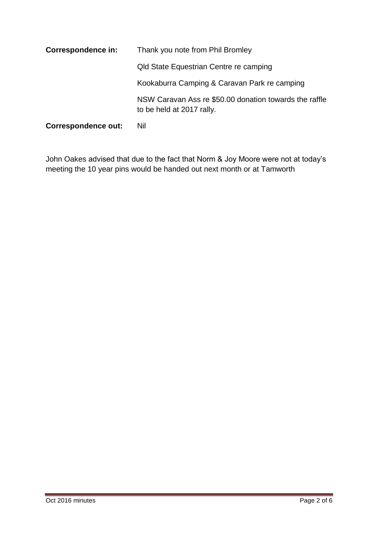| <b>Correspondence in:</b>  | Thank you note from Phil Bromley                                                    |  |  |  |
|----------------------------|-------------------------------------------------------------------------------------|--|--|--|
|                            | Qld State Equestrian Centre re camping                                              |  |  |  |
|                            | Kookaburra Camping & Caravan Park re camping                                        |  |  |  |
|                            | NSW Caravan Ass re \$50.00 donation towards the raffle<br>to be held at 2017 rally. |  |  |  |
| <b>Correspondence out:</b> | Nil                                                                                 |  |  |  |

John Oakes advised that due to the fact that Norm & Joy Moore were not at today's meeting the 10 year pins would be handed out next month or at Tamworth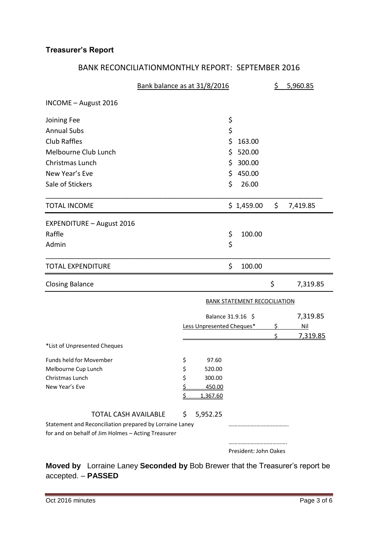# **Treasurer's Report**

# BANK RECONCILIATIONMONTHLY REPORT: SEPTEMBER 2016

|                                                                                                               | Bank balance as at 31/8/2016 |                           |    |                                     | 5,960.85   |          |
|---------------------------------------------------------------------------------------------------------------|------------------------------|---------------------------|----|-------------------------------------|------------|----------|
| INCOME - August 2016                                                                                          |                              |                           |    |                                     |            |          |
| Joining Fee                                                                                                   |                              |                           | \$ |                                     |            |          |
| <b>Annual Subs</b>                                                                                            |                              |                           | \$ |                                     |            |          |
| <b>Club Raffles</b>                                                                                           |                              |                           | \$ | 163.00                              |            |          |
| Melbourne Club Lunch                                                                                          |                              |                           | \$ | 520.00                              |            |          |
| Christmas Lunch                                                                                               |                              |                           | \$ | 300.00                              |            |          |
| New Year's Eve                                                                                                |                              |                           | \$ | 450.00                              |            |          |
| Sale of Stickers                                                                                              |                              |                           | \$ | 26.00                               |            |          |
| <b>TOTAL INCOME</b>                                                                                           |                              |                           |    | \$1,459.00                          | \$         | 7,419.85 |
| <b>EXPENDITURE - August 2016</b>                                                                              |                              |                           |    |                                     |            |          |
| Raffle                                                                                                        |                              |                           | \$ | 100.00                              |            |          |
| Admin                                                                                                         |                              |                           | \$ |                                     |            |          |
| <b>TOTAL EXPENDITURE</b>                                                                                      |                              |                           | \$ | 100.00                              |            |          |
| <b>Closing Balance</b>                                                                                        |                              |                           |    |                                     | \$         | 7,319.85 |
|                                                                                                               |                              |                           |    | <b>BANK STATEMENT RECOCILIATION</b> |            |          |
|                                                                                                               |                              | Balance 31.9.16 \$        |    |                                     |            | 7,319.85 |
|                                                                                                               |                              | Less Unpresented Cheques* |    | \$                                  | <b>Nil</b> |          |
| *List of Unpresented Cheques                                                                                  |                              |                           |    |                                     | Ś          | 7,319.85 |
|                                                                                                               |                              |                           |    |                                     |            |          |
| Funds held for Movember<br>Melbourne Cup Lunch                                                                | \$<br>\$                     | 97.60<br>520.00           |    |                                     |            |          |
| Christmas Lunch                                                                                               | \$                           | 300.00                    |    |                                     |            |          |
| New Year's Eve                                                                                                | <u>\$</u>                    | 450.00                    |    |                                     |            |          |
|                                                                                                               | \$                           | 1,367.60                  |    |                                     |            |          |
| <b>TOTAL CASH AVAILABLE</b>                                                                                   | \$                           | 5,952.25                  |    |                                     |            |          |
| Statement and Reconciliation prepared by Lorraine Laney<br>for and on behalf of Jim Holmes - Acting Treasurer |                              |                           |    |                                     |            |          |
|                                                                                                               |                              |                           |    | President: John Oakes               |            |          |

**Moved by** Lorraine Laney **Seconded by** Bob Brewer that the Treasurer's report be accepted. – **PASSED**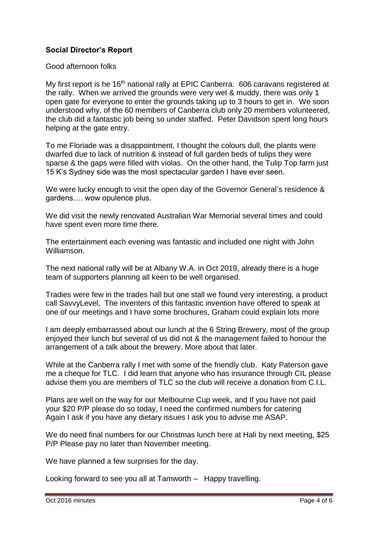# **Social Director's Report**

#### Good afternoon folks

My first report is he 16<sup>th</sup> national rally at EPIC Canberra. 606 caravans registered at the rally. When we arrived the grounds were very wet & muddy, there was only 1 open gate for everyone to enter the grounds taking up to 3 hours to get in. We soon understood why, of the 60 members of Canberra club only 20 members volunteered, the club did a fantastic job being so under staffed. Peter Davidson spent long hours helping at the gate entry.

To me Floriade was a disappointment, I thought the colours dull, the plants were dwarfed due to lack of nutrition & instead of full garden beds of tulips they were sparse & the gaps were filled with violas. On the other hand, the Tulip Top farm just 15 K's Sydney side was the most spectacular garden I have ever seen.

We were lucky enough to visit the open day of the Governor General's residence & gardens…. wow opulence plus.

We did visit the newly renovated Australian War Memorial several times and could have spent even more time there.

The entertainment each evening was fantastic and included one night with John Williamson.

The next national rally will be at Albany W.A. in Oct 2019, already there is a huge team of supporters planning all keen to be well organised.

Tradies were few in the trades hall but one stall we found very interesting, a product call SavvyLevel, The inventers of this fantastic invention have offered to speak at one of our meetings and I have some brochures, Graham could explain lots more

I am deeply embarrassed about our lunch at the 6 String Brewery, most of the group enjoyed their lunch but several of us did not & the management failed to honour the arrangement of a talk about the brewery. More about that later.

While at the Canberra rally I met with some of the friendly club. Katy Paterson gave me a cheque for TLC. I did learn that anyone who has insurance through CIL please advise them you are members of TLC so the club will receive a donation from C.I.L.

Plans are well on the way for our Melbourne Cup week, and If you have not paid your \$20 P/P please do so today, I need the confirmed numbers for catering Again I ask if you have any dietary issues I ask you to advise me ASAP.

We do need final numbers for our Christmas lunch here at Hali by next meeting, \$25 P/P Please pay no later than November meeting.

We have planned a few surprises for the day.

Looking forward to see you all at Tamworth – Happy travelling.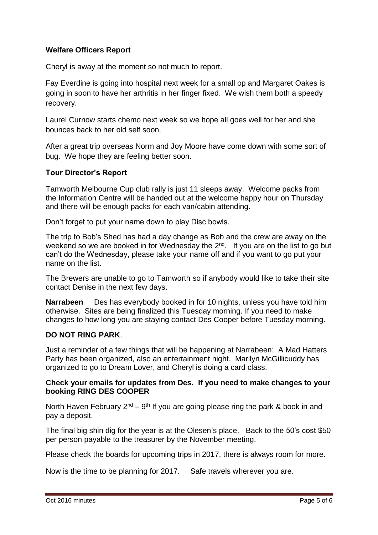# **Welfare Officers Report**

Cheryl is away at the moment so not much to report.

Fay Everdine is going into hospital next week for a small op and Margaret Oakes is going in soon to have her arthritis in her finger fixed. We wish them both a speedy recovery.

Laurel Curnow starts chemo next week so we hope all goes well for her and she bounces back to her old self soon.

After a great trip overseas Norm and Joy Moore have come down with some sort of bug. We hope they are feeling better soon.

### **Tour Director's Report**

Tamworth Melbourne Cup club rally is just 11 sleeps away. Welcome packs from the Information Centre will be handed out at the welcome happy hour on Thursday and there will be enough packs for each van/cabin attending.

Don't forget to put your name down to play Disc bowls.

The trip to Bob's Shed has had a day change as Bob and the crew are away on the weekend so we are booked in for Wednesday the  $2^{nd}$ . If you are on the list to go but can't do the Wednesday, please take your name off and if you want to go put your name on the list.

The Brewers are unable to go to Tamworth so if anybody would like to take their site contact Denise in the next few days.

**Narrabeen** Des has everybody booked in for 10 nights, unless you have told him otherwise. Sites are being finalized this Tuesday morning. If you need to make changes to how long you are staying contact Des Cooper before Tuesday morning.

### **DO NOT RING PARK**.

Just a reminder of a few things that will be happening at Narrabeen: A Mad Hatters Party has been organized, also an entertainment night. Marilyn McGillicuddy has organized to go to Dream Lover, and Cheryl is doing a card class.

#### **Check your emails for updates from Des. If you need to make changes to your booking RING DES COOPER**

North Haven February  $2^{nd} - 9^{th}$  If you are going please ring the park & book in and pay a deposit.

The final big shin dig for the year is at the Olesen's place. Back to the 50's cost \$50 per person payable to the treasurer by the November meeting.

Please check the boards for upcoming trips in 2017, there is always room for more.

Now is the time to be planning for 2017. Safe travels wherever you are.